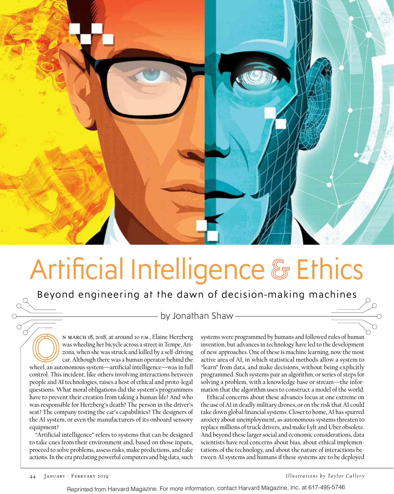

# Artificial Intelligence & Ethics

Beyond engineering at the dawn of decision-making machines

- by Jonathan Shaw -

N MARCH 18, 2018, at around 10 p.m., Elaine Herzberg<br>
was wheeling her bicycle across a street in Tempe, Arizona, when she was struck and killed by a self-driving<br>
car. Although there was a human operator behind the<br>
wheel was wheeling her bicycle across a street in Tempe, Arizona, when she was struck and killed by a self-driving car. Although there was a human operator behind the control. This incident, like others involving interactions between people and AI technologies, raises a host of ethical and proto-legal questions. What moral obligations did the system's programmers have to prevent their creation from taking a human life? And who was responsible for Herzberg's death? The person in the driver's seat? The company testing the car's capabilities? The designers of the AI system, or even the manufacturers of its onboard sensory equipment?

"Artificial intelligence" refers to systems that can be designed to take cues from their environment and, based on those inputs, proceed to solve problems, assess risks, make predictions, and take actions. In the era predating powerful computers and big data, such

systems were programmed by humans and followed rules of human invention, but advances in technology have led to the development of new approaches. One of these is machine learning, now the most active area of AI, in which statistical methods allow a system to "learn" from data, and make decisions, without being explicitly programmed. Such systems pair an algorithm, or series of steps for solving a problem, with a knowledge base or stream—the information that the algorithm uses to construct a model of the world.

Ethical concerns about these advances focus at one extreme on the use of AI in deadly military drones, or on the risk that AI could take down global financial systems. Closer to home, AI has spurred anxiety about unemployment, as autonomous systems threaten to replace millions of truck drivers, and make Lyft and Uber obsolete. And beyond these larger social and economic considerations, data scientists have real concerns about bias, about ethical implementations of the technology, and about the nature of interactions between AI systems and humans if these systems are to be deployed

 $\alpha$  $\overline{O}$ 

44 January - February 2019 *Illustrations by Taylor Callery*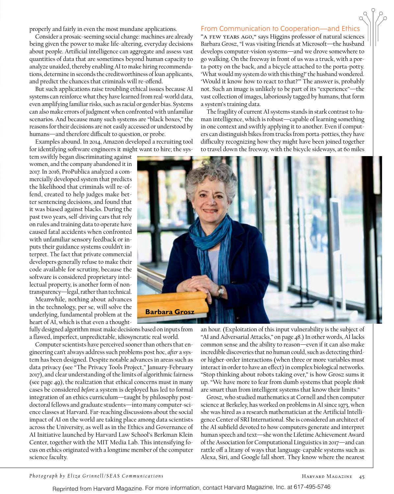properly and fairly in even the most mundane applications.

Consider a prosaic-seeming social change: machines are already being given the power to make life-altering, everyday decisions about people. Artificial intelligence can aggregate and assess vast quantities of data that are sometimes beyond human capacity to analyze unaided, thereby enabling AI to make hiring recommendations, determine in seconds the creditworthiness of loan applicants, and predict the chances that criminals will re-offend.

But such applications raise troubling ethical issues because AI systems can reinforce what they have learned from real-world data, even amplifying familiar risks, such as racial or gender bias. Systems can also make errors of judgment when confronted with unfamiliar scenarios. And because many such systems are "black boxes," the reasons for their decisions are not easily accessed or understood by humans—and therefore difficult to question, or probe.

Examples abound. In 2014, Amazon developed a recruiting tool for identifying software engineers it might want to hire; the sys-

tem swiftly began discriminating against women, and the company abandoned it in 2017. In 2016, ProPublica analyzed a commercially developed system that predicts the likelihood that criminals will re-offend, created to help judges make better sentencing decisions, and found that it was biased against blacks. During the past two years, self-driving cars that rely on rules and training data to operate have caused fatal accidents when confronted with unfamiliar sensory feedback or inputs their guidance systems couldn't interpret. The fact that private commercial developers generally refuse to make their code available for scrutiny, because the software is considered proprietary intellectual property, is another form of nontransparency—legal, rather than technical.

Meanwhile, nothing about advances in the technology, per se, will solve the underlying, fundamental problem at the heart of AI, which is that even a thought-

fully designed algorithm must make decisions based on inputs from a flawed, imperfect, unpredictable, idiosyncratic real world.

Computer scientists have perceived sooner than others that engineering can't always address such problems post hoc, *after* a system has been designed. Despite notable advances in areas such as data privacy (see "The Privacy Tools Project," January-February 2017), and clear understanding of the limits of algorithmic fairness (see page 49), the realization that ethical concerns must in many cases be considered *before* a system is deployed has led to formal integration of an ethics curriculum—taught by philosophy postdoctoral fellows and graduate students—into many computer-science classes at Harvard. Far-reaching discussions about the social impact of AI on the world are taking place among data scientists across the University, as well as in the Ethics and Governance of AI Initiative launched by Harvard Law School's Berkman Klein Center, together with the MIT Media Lab. This intensifying focus on ethics originated with a longtime member of the computer science faculty.

## From Communication to Cooperation—and Ethics

"A few years ago," says Higgins professor of natural sciences Barbara Grosz, "I was visiting friends at Microsoft—the husband develops computer-vision systems—and we drove somewhere to go walking. On the freeway in front of us was a truck, with a porta-potty on the back, and a bicycle attached to the porta-potty. 'What would my system do with this thing?' the husband wondered. 'Would it know how to react to that?'" The answer is, probably not. Such an image is unlikely to be part of its "experience"—the vast collection of images, laboriously tagged by humans, that form a system's training data.

The fragility of current AI systems stands in stark contrast to human intelligence, which is robust—capable of learning something in one context and swiftly applying it to another. Even if computers can distinguish bikes from trucks from porta-potties, they have difficulty recognizing how they might have been joined together to travel down the freeway, with the bicycle sideways, at 60 miles



an hour. (Exploitation of this input vulnerability is the subject of "AI and Adversarial Attacks," on page 48.) In other words, AI lacks common sense and the ability to reason—even if it can also make incredible discoveries that no human could, such as detecting thirdor higher-order interactions (when three or more variables must interact in order to have an effect) in complex biological networks. "Stop thinking about robots taking over," is how Grosz sums it up. "We have more to fear from dumb systems that people *think* are smart than from intelligent systems that know their limits."

Grosz, who studied mathematics at Cornell and then computer science at Berkeley, has worked on problems in AI since 1973, when she was hired as a research mathematician at the Artificial Intelligence Center of SRI International. She is considered an architect of the AI subfield devoted to how computers generate and interpret human speech and text—she won the Lifetime Achievement Award of the Association for Computational Linguistics in 2017—and can rattle off a litany of ways that language-capable systems such as Alexa, Siri, and Google fall short. They know where the nearest

#### *Photograph by Eliza Grinnell/SEAS Communications*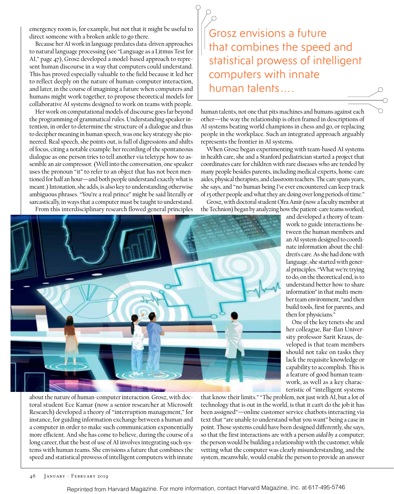emergency room is, for example, but not that it might be useful to direct someone with a broken ankle to go there.

Because her AI work in language predates data-driven approaches to natural language processing (see "Language as a Litmus Test for AI," page 47), Grosz developed a model-based approach to represent human discourse in a way that computers could understand. This has proved especially valuable to the field because it led her to reflect deeply on the nature of human-computer interaction, and later, in the course of imagining a future when computers and humans might work together, to propose theoretical models for collaborative AI systems designed to work on teams with people.

Her work on computational models of discourse goes far beyond the programming of grammatical rules. Understanding speaker intention, in order to determine the structure of a dialogue and thus to decipher meaning in human speech, was one key strategy she pioneered. Real speech, she points out, is full of digressions and shifts of focus, citing a notable example**:** her recording of the spontaneous dialogue as one person tries to tell another via teletype how to assemble an air compressor. (Well into the conversation, one speaker uses the pronoun "it" to refer to an object that has not been mentioned for half an hour—and both people understand exactly what is meant.) Intonation, she adds, is also key to understanding otherwise ambiguous phrases. "You're a real prince" might be said literally or sarcastically, in ways that a computer must be taught to understand. From this interdisciplinary research flowed general principles

Grosz envisions a future that combines the speed and statistical prowess of intelligent computers with innate human talents….

human talents, not one that pits machines and humans against each other—the way the relationship is often framed in descriptions of AI systems beating world champions in chess and go, or replacing people in the workplace. Such an integrated approach arguably represents the frontier in AI systems.

When Grosz began experimenting with team-based AI systems in health care, she and a Stanford pediatrician started a project that coordinates care for children with rare diseases who are tended by many people besides parents, including medical experts, home-care aides, physical therapists, and classroom teachers. The care spans years, she says, and "no human being *I've* ever encountered can keep track of 15 other people and what they are doing over long periods of time."

Grosz, with doctoral student Ofra Amir (now a faculty member at the Technion) began by analyzing how the patient-care teams worked,



about the nature of human-computer interaction. Grosz, with doctoral student Ece Kamar (now a senior researcher at Microsoft Research) developed a theory of "interruption management," for instance, for guiding information exchange between a human and a computer in order to make such communication exponentially more efficient. And she has come to believe, during the course of a long career, that the best of use of AI involves integrating such systems with human teams. She envisions a future that combines the speed and statistical prowess of intelligent computers with innate

that know their limits." "The problem, not just with AI, but a lot of technology that is out in the world, is that it can't do the job it has been assigned"—online customer service chatbots interacting via text that "are unable to understand what you want" being a case in point. Those systems could have been designed differently, she says, so that the first interactions are with a person *aided by* a computer; the person would be building a relationship with the customer, while vetting what the computer was clearly misunderstanding, and the system, meanwhile, would enable the person to provide an answer

and developed a theory of teamwork to guide interactions between the human members and an AI system designed to coordinate information about the children's care. As she had done with language, she started with general principles. "What we're trying to do, on the theoretical end, is to understand better how to share information" in that multi-member team environment, "and then build tools, first for parents, and then for physicians."

One of the key tenets she and her colleague, Bar-Ilan University professor Sarit Kraus, developed is that team members should not take on tasks they lack the requisite knowledge or capability to accomplish. This is a feature of good human teamwork, as well as a key characteristic of "intelligent systems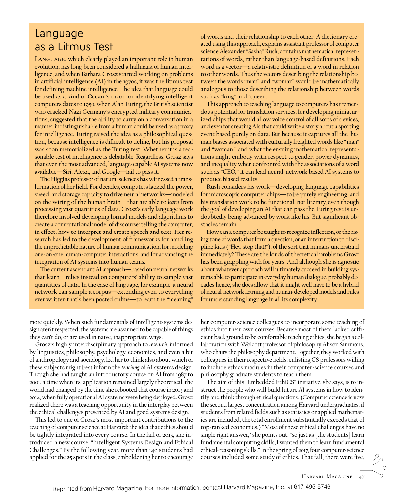## Language as a Litmus Test

Language, which clearly played an important role in human evolution, has long been considered a hallmark of human intelligence, and when Barbara Grosz started working on problems in artificial intelligence (AI) in the 1970s, it was the litmus test for defining machine intelligence. The idea that language could be used as a kind of Occam's razor for identifying intelligent computers dates to 1950, when Alan Turing, the British scientist who cracked Nazi Germany's encrypted military communications, suggested that the ability to carry on a conversation in a manner indistinguishable from a human could be used as a proxy for intelligence. Turing raised the idea as a philosophical question, because intelligence is difficult to define, but his proposal was soon memorialized as the Turing test. Whether it is a reasonable test of intelligence is debatable. Regardless, Grosz says that even the most advanced, language-capable AI systems now available—Siri, Alexa, and Google—fail to pass it.

The Higgins professor of natural sciences has witnessed a transformation of her field. For decades, computers lacked the power, speed, and storage capacity to drive neural networks—modeled on the wiring of the human brain—that are able to *learn* from processing vast quantities of data. Grosz's early language work therefore involved developing formal models and algorithms to create a computational model of discourse: telling the computer, in effect, how to interpret and create speech and text. Her research has led to the development of frameworks for handling the unpredictable nature of human communication, for modeling one-on-one human-computer interactions, and for advancing the integration of AI systems into human teams.

The current ascendant AI approach—based on neural networks that learn—relies instead on computers' ability to sample vast quantities of data. In the case of language, for example, a neural network can sample a corpus—extending even to everything ever written that's been posted online—to learn the "meaning"

of words and their relationship to each other. A dictionary created using this approach, explains assistant professor of computer science Alexander "Sasha" Rush, contains mathematical representations of words, rather than language-based definitions. Each word is a vector—a relativistic definition of a word in relation to other words. Thus the vectors describing the relationship between the words "man" and "woman" would be mathematically analogous to those describing the relationship between words such as "king" and "queen."

This approach to teaching language to computers has tremendous potential for translation services, for developing miniaturized chips that would allow voice control of all sorts of devices, and even for creating AIs that could write a story about a sporting event based purely on data. But because it captures all the human biases associated with culturally freighted words like "man" and "woman," and what the ensuing mathematical representations might embody with respect to gender, power dynamics, and inequality when confronted with the associations of a word such as "CEO," it can lead neural-network based AI systems to produce biased results.

Rush considers his work—developing language capabilities for microscopic computer chips—to be purely engineering, and his translation work to be functional, not literary, even though the goal of developing an AI that can pass the Turing test is undoubtedly being advanced by work like his. But significant obstacles remain.

How can a computer be taught to recognize inflection, or the rising tone of words that form a question, or an interruption to discipline kids ("Hey, stop that!"), of the sort that humans understand immediately? These are the kinds of theoretical problems Grosz has been grappling with for years. And although she is agnostic about whatever approach will ultimately succeed in building systems able to participate in everyday human dialogue, probably decades hence, she does allow that it might well have to be a hybrid of neural-network learning and human-developed models and rules for understanding language in all its complexity.

more quickly. When such fundamentals of intelligent-systems design aren't respected, the systems are assumed to be capable of things they can't do, or are used in naïve, inappropriate ways.

Grosz's highly interdisciplinary approach to *research*, informed by linguistics, philosophy, psychology, economics, and even a bit of anthropology and sociology, led her to think also about which of these subjects might best inform the *teaching* of AI systems design. Though she had taught an introductory course on AI from 1987 to 2001, a time when its application remained largely theoretical, the world had changed by the time she rebooted that course in 2013 and 2014, when fully operational AI systems were being deployed. Grosz realized there was a teaching opportunity in the interplay between the ethical challenges presented by AI and good systems design.

This led to one of Grosz's most important contributions to the teaching of computer science at Harvard: the idea that ethics should be tightly integrated into every course. In the fall of 2015, she introduced a new course, "Intelligent Systems Design and Ethical Challenges." By the following year, more than 140 students had applied for the 25 spots in the class, emboldening her to encourage

her computer-science colleagues to incorporate some teaching of ethics into their own courses. Because most of them lacked sufficient background to be comfortable teaching ethics, she began a collaboration with Wolcott professor of philosophy Alison Simmons, who chairs the philosophy department. Together, they worked with colleagues in their respective fields, enlisting CS professors willing to include ethics modules in their computer-science courses and philosophy graduate students to teach them.

The aim of this "Embedded EthiCS" initiative, she says, is to instruct the people who will build future AI systems in how to identify and think through ethical questions. (Computer science is now the second largest concentration among Harvard undergraduates; if students from related fields such as statistics or applied mathematics are included, the total enrollment substantially exceeds that of top-ranked economics.) "Most of these ethical challenges have no single right answer," she points out, "so just as [the students] learn fundamental computing skills, I wanted them to learn fundamental ethical-reasoning skills." In the spring of 2017, four computer-science courses included some study of ethics. That fall, there were five,

n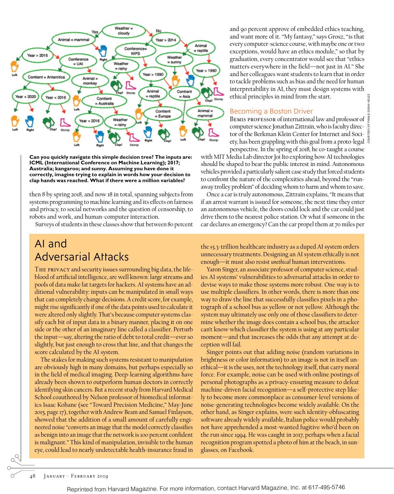

**Can you quickly navigate this simple decision tree? The inputs are: ICML (International Conference on Machine Learning); 2017; Australia; kangaroo; and sunny. Assuming you have done it correctly, imagine trying to explain in words how your decision to clap hands was reached. What if there were a million variables?**

then 8 by spring 2018, and now 18 in total, spanning subjects from systems programming to machine learning and its effects on fairness and privacy, to social networks and the question of censorship, to robots and work, and human-computer interaction.

Surveys of students in these classes show that between 80 percent

## AI and Adversarial Attacks

The privacy and security issues surrounding big data, the lifeblood of artificial intelligence, are well known: large streams and pools of data make fat targets for hackers. AI systems have an additional vulnerability: inputs can be manipulated in small ways that can completely change decisions. A credit score, for example, might rise significantly if one of the data points used to calculate it were altered only slightly. That's because computer systems classify each bit of input data in a binary manner, placing it on one side or the other of an imaginary line called a classifier. Perturb the input—say, altering the ratio of debt to total credit—ever so slightly, but just enough to cross that line, and that changes the score calculated by the AI system.

The stakes for making such systems resistant to manipulation are obviously high in many domains, but perhaps especially so in the field of medical imaging. Deep-learning algorithms have already been shown to outperform human doctors in correctly identifying skin cancers. But a recent study from Harvard Medical School coauthored by Nelson professor of biomedical informatics Isaac Kohane (see "Toward Precision Medicine," May-June 2015, page 17), together with Andrew Beam and Samuel Finlayson, showed that the addition of a small amount of carefully engineered noise "converts an image that the model correctly classifies as benign into an image that the network is 100 percent confident is malignant." This kind of manipulation, invisible to the human eye, could lead to nearly undetectable health-insurance fraud in

and 90 percent approve of embedded ethics teaching, and want more of it. "My fantasy," says Grosz, "is that every computer-science course, with maybe one or two exceptions, would have an ethics module," so that by graduation, every concentrator would see that "ethics matters everywhere in the field—not just in AI." She and her colleagues want students to learn that in order to tackle problems such as bias and the need for human interpretability in AI, they must design systems with ethical principles in mind from the start.

### Becoming a Boston Driver

Bemis professor of international law and professor of computer science Jonathan Zittrain, who is faculty director of the Berkman Klein Center for Internet and Society, has been grappling with this goal from a proto-legal <sup>3</sup> perspective. In the spring of 2018, he co-taught a course

with MIT Media Lab director Joi Ito exploring how AI technologies should be shaped to bear the public interest in mind. Autonomous vehicles provided a particularly salient case study that forced students to confront the nature of the complexities ahead, beyond the "runaway trolley problem" of deciding whom to harm and whom to save.

Once a car is truly autonomous, Zittrain explains, "It means that if an arrest warrant is issued for someone, the next time they enter an autonomous vehicle, the doors could lock and the car could just drive them to the nearest police station. Or what if someone in the car declares an emergency? Can the car propel them at 70 miles per

the \$3.3-trillion healthcare industry as a duped AI system orders unnecessary treatments. Designing an AI system ethically is not enough—it must also resist *unethical* human interventions.

Yaron Singer, an associate professor of computer science, studies AI systems' vulnerabilities to adversarial attacks in order to devise ways to make those systems more robust. One way is to use multiple classifiers. In other words, there is more than one way to draw the line that successfully classifies pixels in a photograph of a school bus as yellow or not yellow. Although the system may ultimately use only one of those classifiers to determine whether the image does contain a school bus, the attacker can't know which classifier the system is using at any particular moment—and that increases the odds that any attempt at deception will fail.

Singer points out that adding noise (random variations in brightness or color information) to an image is not in itself unethical—it is the uses, not the technology itself, that carry moral force. For example, noise can be used with online postings of personal photographs as a privacy-ensuring measure to defeat machine-driven facial recognition—a self-protective step likely to become more commonplace as consumer-level versions of noise-generating technologies become widely available. On the other hand, as Singer explains, were such identity-obfuscating software already widely available, Italian police would probably not have apprehended a most-wanted fugitive who'd been on the run since 1994. He was caught in 2017, perhaps when a facial recognition program spotted a photo of him at the beach, in sunglasses, on Facebook.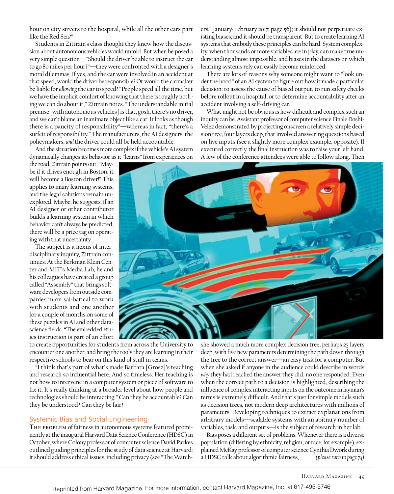hour on city streets to the hospital, while all the other cars part like the Red Sea?"

Students in Zittrain's class thought they knew how the discussion about autonomous vehicles would unfold. But when he posed a very simple question—"Should the driver be able to instruct the car to go 80 miles per hour?"—they were confronted with a designer's moral dilemmas. If yes, and the car were involved in an accident at that speed, would the driver be responsible? Or would the carmaker be liable for *allowing* the car to speed? "People speed all the time, but we have the implicit comfort of knowing that there is roughly nothing we can do about it," Zittrain notes. "The understandable initial premise [with autonomous vehicles] is that, gosh, there's no driver, and we can't blame an inanimate object like a car. It looks as though there is a paucity of responsibility"—whereas in fact, "there's a surfeit of responsibility." The manufacturers, the AI designers, the policymakers, *and* the driver could all be held accountable.

And the situation becomes more complex if the vehicle's AI system dynamically changes its behavior as it "learns" from experiences on

the road, Zittrain points out. "Maybe if it drives enough in Boston, it will become a Boston driver!" This applies to many learning systems, and the legal solutions remain unexplored. Maybe, he suggests, if an AI designer or other contributor builds a learning system in which behavior can't always be predicted, there will be a price tag on operating with that uncertainty.

The subject is a nexus of interdisciplinary inquiry, Zittrain continues. At the Berkman Klein Center and MIT's Media Lab, he and his colleagues have created a group called "Assembly" that brings software developers from outside companies in on sabbatical to work with students and one another for a couple of months on some of these puzzles in AI and other datascience fields. "The embedded ethics instruction is part of an effort ers," January-February 2017, page 56); it should not perpetuate existing biases; and it should be transparent. But to create learning AI systems that embody these principles can be hard. System complexity, when thousands or more variables are in play, can make true understanding almost impossible, and biases in the datasets on which learning systems rely can easily become reinforced.

There are lots of reasons why someone might want to "look under the hood" of an AI system to figure out how it made a particular decision: to assess the cause of biased output, to run safety checks before rollout in a hospital, or to determine accountability after an accident involving a self-driving car.

What might not be obvious is how difficult and complex such an inquiry can be. Assistant professor of computer science Finale Doshi-Velez demonstrated by projecting onscreen a relatively simple decision tree, four layers deep, that involved answering questions based on five inputs (see a slightly more complex example, opposite). If executed correctly, the final instruction was to raise your left hand. A few of the conference attendees were able to follow along. Then



to create opportunities for students from across the University to encounter one another, and bring the tools they are learning in their respective schools to bear on this kind of stuff in teams.

"I think that's part of what's made Barbara [Grosz]'s teaching and research so influential here. And so timeless. Her teaching is not how to intervene in a computer system or piece of software to fix it. It's really thinking at a broader level about how people and technologies should be interacting." Can they be accountable? Can they be understood? Can they be fair?

## Systemic Bias and Social Engineering

THE PROBLEM of fairness in autonomous systems featured prominently at the inaugural Harvard Data Science Conference (HDSC) in October, where Colony professor of computer science David Parkes outlined guiding principles for the study of data science at Harvard: it should address ethical issues, including privacy (see "The Watchshe showed a much more complex decision tree, perhaps 25 layers deep, with five new parameters determining the path down through the tree to the correct answer—an easy task for a computer. But when she asked if anyone in the audience could describe in words *why* they had reached the answer they did, no one responded. Even when the correct path to a decision is highlighted, describing the influence of complex interacting inputs on the outcome in layman's terms is extremely difficult. And that's just for simple models such as decision trees, not modern deep architectures with millions of parameters. Developing techniques to extract explanations from arbitrary models—scalable systems with an abitrary number of variables, task, and outputs—is the subject of research in her lab.

Bias poses a different set of problems. Whenever there is a diverse population (differing by ethnicity, religion, or race, for example), explained McKay professor of computer science Cynthia Dwork during a HDSC talk about algorithmic fairness, *(please turn to page 74)*